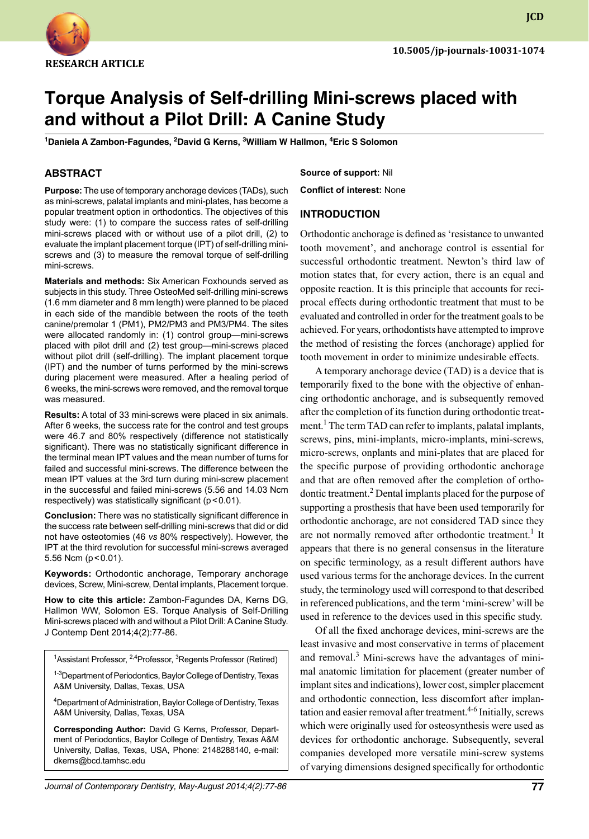

**JCD**

# **Torque Analysis of Self-drilling Mini-screws placed with and without a Pilot Drill: A Canine Study**

<sup>1</sup>Daniela A Zambon-Fagundes, <sup>2</sup>David G Kerns, <sup>3</sup>William W Hallmon, <sup>4</sup>Eric S Solomon

## **ABSTRACT**

**Purpose:** The use of temporary anchorage devices (TADs), such as mini-screws, palatal implants and mini-plates, has become a popular treatment option in orthodontics. The objectives of this study were: (1) to compare the success rates of self-drilling mini-screws placed with or without use of a pilot drill, (2) to evaluate the implant placement torque (IPT) of self-drilling miniscrews and (3) to measure the removal torque of self-drilling mini-screws.

**materials and methods:** Six American foxhounds served as subjects in this study. Three OsteoMed self-drilling mini-screws (1.6 mm diameter and 8 mm length) were planned to be placed in each side of the mandible between the roots of the teeth canine/premolar 1 (PM1), PM2/PM3 and PM3/PM4. The sites were allocated randomly in: (1) control group—mini-screws placed with pilot drill and (2) test group—mini-screws placed without pilot drill (self-drilling). The implant placement torque (IPT) and the number of turns performed by the mini-screws during placement were measured. After a healing period of 6 weeks, the mini-screws were removed, and the removal torque was measured.

**Results:** A total of 33 mini-screws were placed in six animals. After 6 weeks, the success rate for the control and test groups were 46.7 and 80% respectively (difference not statistically significant). There was no statistically significant difference in the terminal mean IPT values and the mean number of turns for failed and successful mini-screws. The difference between the mean IPT values at the 3rd turn during mini-screw placement in the successful and failed mini-screws (5.56 and 14.03 Ncm respectively) was statistically significant ( $p < 0.01$ ).

**Conclusion:** There was no statistically significant difference in the success rate between self-drilling mini-screws that did or did not have osteotomies (46 *vs* 80% respectively). However, the IPT at the third revolution for successful mini-screws averaged 5.56 Ncm ( $p < 0.01$ ).

Keywords: Orthodontic anchorage, Temporary anchorage devices, Screw, Mini-screw, Dental implants, Placement torque.

**How to cite this article:** Zambon-Fagundes DA, Kerns DG, Hallmon WW, Solomon ES. Torque Analysis of Self-Drilling Mini-screws placed with and without a Pilot Drill: A Canine Study. J Contemp Dent 2014;4(2):77-86.

<sup>1</sup>Assistant Professor, <sup>2,4</sup>Professor, <sup>3</sup>Regents Professor (Retired)

<sup>1-3</sup>Department of Periodontics, Baylor College of Dentistry, Texas A&M University, Dallas, Texas, USA

4 Department of Administration, Baylor College of Dentistry, Texas A&M University, Dallas, Texas, USA

**Corresponding Author:** David G Kerns, Professor, Department of Periodontics, Baylor College of Dentistry, Texas A&M University, Dallas, Texas, USA, Phone: 2148288140, e-mail: dkerns@bcd.tamhsc.edu

**Source of support:** Nil

**Conflict of interest:** None

## **Introduction**

Orthodontic anchorage is defined as 'resistance to unwanted tooth movement', and anchorage control is essential for successful orthodontic treatment. Newton's third law of motion states that, for every action, there is an equal and opposite reaction. It is this principle that accounts for reciprocal effects during orthodontic treatment that must to be evaluated and controlled in order for the treatment goals to be achieved. For years, orthodontists have attempted to improve the method of resisting the forces (anchorage) applied for tooth movement in order to minimize undesirable effects.

A temporary anchorage device (TAD) is a device that is temporarily fixed to the bone with the objective of enhancing orthodontic anchorage, and is subsequently removed after the completion of its function during orthodontic treatment.<sup>1</sup> The term TAD can refer to implants, palatal implants, screws, pins, mini-implants, micro-implants, mini-screws, micro-screws, onplants and mini-plates that are placed for the specific purpose of providing orthodontic anchorage and that are often removed after the completion of orthodontic treatment.<sup>2</sup> Dental implants placed for the purpose of supporting a prosthesis that have been used temporarily for orthodontic anchorage, are not considered TAD since they are not normally removed after orthodontic treatment.<sup>1</sup> It appears that there is no general consensus in the literature on specific terminology, as a result different authors have used various terms for the anchorage devices. In the current study, the terminology used will correspond to that described in referenced publications, and the term 'mini-screw' will be used in reference to the devices used in this specific study.

Of all the fixed anchorage devices, mini-screws are the least invasive and most conservative in terms of placement and removal.<sup>3</sup> Mini-screws have the advantages of minimal anatomic limitation for placement (greater number of implant sites and indications), lower cost, simpler placement and orthodontic connection, less discomfort after implantation and easier removal after treatment.<sup>4-6</sup> Initially, screws which were originally used for osteosynthesis were used as devices for orthodontic anchorage. Subsequently, several companies developed more versatile mini-screw systems of varying dimensions designed specifically for orthodontic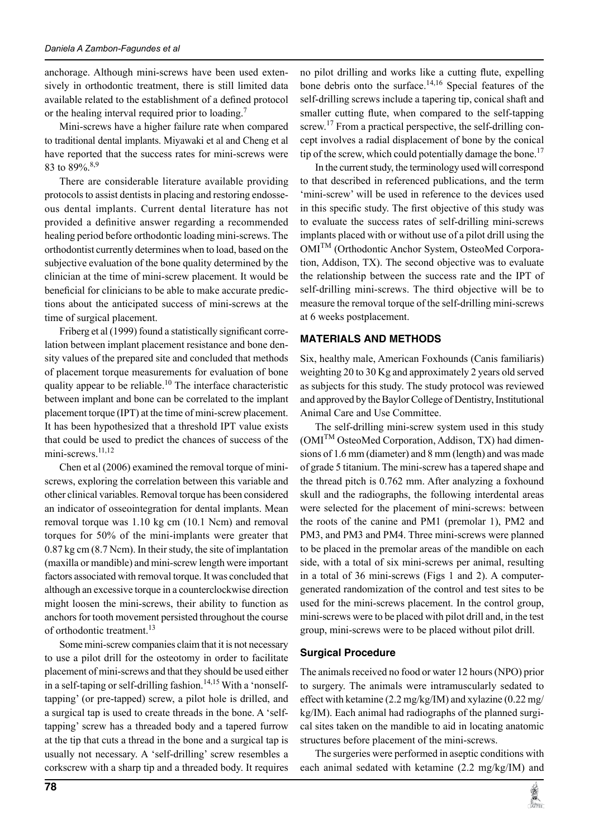anchorage. Although mini-screws have been used extensively in orthodontic treatment, there is still limited data available related to the establishment of a defined protocol or the healing interval required prior to loading.<sup>7</sup>

Mini-screws have a higher failure rate when compared to traditional dental implants. Miyawaki et al and Cheng et al have reported that the success rates for mini-screws were 83 to 89%.<sup>8,9</sup>

There are considerable literature available providing protocols to assist dentists in placing and restoring endosseous dental implants. Current dental literature has not provided a definitive answer regarding a recommended healing period before orthodontic loading mini-screws. The orthodontist currently determines when to load, based on the subjective evaluation of the bone quality determined by the clinician at the time of mini-screw placement. It would be beneficial for clinicians to be able to make accurate predictions about the anticipated success of mini-screws at the time of surgical placement.

Friberg et al (1999) found a statistically significant correlation between implant placement resistance and bone density values of the prepared site and concluded that methods of placement torque measurements for evaluation of bone quality appear to be reliable.<sup>10</sup> The interface characteristic between implant and bone can be correlated to the implant placement torque (IPT) at the time of mini-screw placement. It has been hypothesized that a threshold IPT value exists that could be used to predict the chances of success of the mini-screws.<sup>11,12</sup>

Chen et al (2006) examined the removal torque of miniscrews, exploring the correlation between this variable and other clinical variables. Removal torque has been considered an indicator of osseointegration for dental implants. Mean removal torque was 1.10 kg cm (10.1 Ncm) and removal torques for 50% of the mini-implants were greater that 0.87 kg cm (8.7 Ncm). In their study, the site of implantation (maxilla or mandible) and mini-screw length were important factors associated with removal torque. It was concluded that although an excessive torque in a counterclockwise direction might loosen the mini-screws, their ability to function as anchors for tooth movement persisted throughout the course of orthodontic treatment.<sup>13</sup>

Some mini-screw companies claim that it is not necessary to use a pilot drill for the osteotomy in order to facilitate placement of mini-screws and that they should be used either in a self-taping or self-drilling fashion.<sup>14,15</sup> With a 'nonselftapping' (or pre-tapped) screw, a pilot hole is drilled, and a surgical tap is used to create threads in the bone. A 'selftapping' screw has a threaded body and a tapered furrow at the tip that cuts a thread in the bone and a surgical tap is usually not necessary. A 'self-drilling' screw resembles a corkscrew with a sharp tip and a threaded body. It requires no pilot drilling and works like a cutting flute, expelling bone debris onto the surface.<sup>14,16</sup> Special features of the self-drilling screws include a tapering tip, conical shaft and smaller cutting flute, when compared to the self-tapping screw.<sup>17</sup> From a practical perspective, the self-drilling concept involves a radial displacement of bone by the conical tip of the screw, which could potentially damage the bone.<sup>17</sup>

In the current study, the terminology used will correspond to that described in referenced publications, and the term 'mini-screw' will be used in reference to the devices used in this specific study. The first objective of this study was to evaluate the success rates of self-drilling mini-screws implants placed with or without use of a pilot drill using the OMITM (Orthodontic Anchor System, OsteoMed Corporation, Addison, TX). The second objective was to evaluate the relationship between the success rate and the IPT of self-drilling mini-screws. The third objective will be to measure the removal torque of the self-drilling mini-screws at 6 weeks postplacement.

# **MATERIALs AND METHODS**

Six, healthy male, American Foxhounds (Canis familiaris) weighting 20 to 30 Kg and approximately 2 years old served as subjects for this study. The study protocol was reviewed and approved by the Baylor College of Dentistry, Institutional Animal Care and Use Committee.

The self-drilling mini-screw system used in this study  $(OMI<sup>TM</sup> OsteoMed Corporation, Addison, TX)$  had dimensions of 1.6 mm (diameter) and 8 mm (length) and was made of grade 5 titanium. The mini-screw has a tapered shape and the thread pitch is 0.762 mm. After analyzing a foxhound skull and the radiographs, the following interdental areas were selected for the placement of mini-screws: between the roots of the canine and PM1 (premolar 1), PM2 and PM3, and PM3 and PM4. Three mini-screws were planned to be placed in the premolar areas of the mandible on each side, with a total of six mini-screws per animal, resulting in a total of 36 mini-screws (Figs 1 and 2). A computergenerated randomization of the control and test sites to be used for the mini-screws placement. In the control group, mini-screws were to be placed with pilot drill and, in the test group, mini-screws were to be placed without pilot drill.

# **Surgical Procedure**

The animals received no food or water 12 hours (NPO) prior to surgery. The animals were intramuscularly sedated to effect with ketamine (2.2 mg/kg/IM) and xylazine (0.22 mg/ kg/IM). Each animal had radiographs of the planned surgical sites taken on the mandible to aid in locating anatomic structures before placement of the mini-screws.

The surgeries were performed in aseptic conditions with each animal sedated with ketamine (2.2 mg/kg/IM) and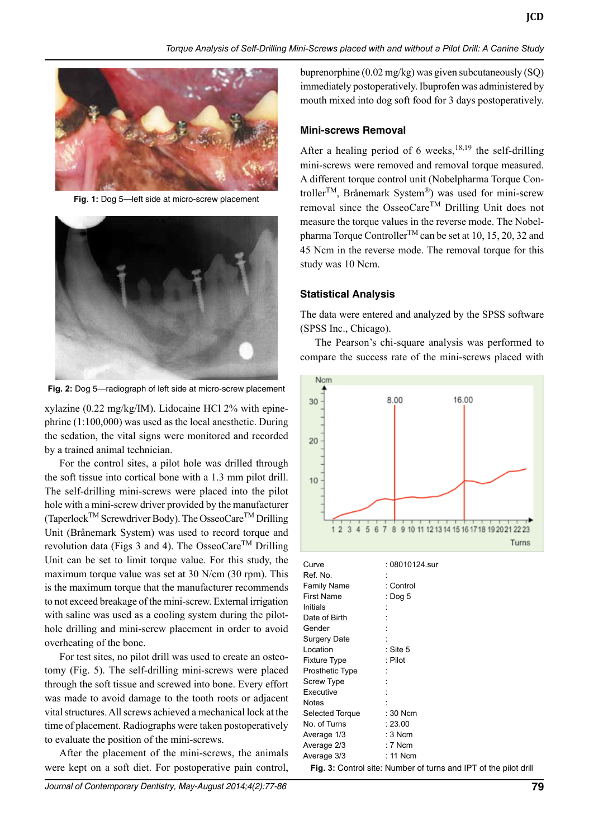

**Fig. 1:** Dog 5—left side at micro-screw placement



**Fig. 2:** Dog 5—radiograph of left side at micro-screw placement

xylazine (0.22 mg/kg/IM). Lidocaine HCl 2% with epinephrine (1:100,000) was used as the local anesthetic. During the sedation, the vital signs were monitored and recorded by a trained animal technician.

For the control sites, a pilot hole was drilled through the soft tissue into cortical bone with a 1.3 mm pilot drill. The self-drilling mini-screws were placed into the pilot hole with a mini-screw driver provided by the manufacturer (TaperlockTM Screwdriver Body). The OsseoCareTM Drilling Unit (Brånemark System) was used to record torque and revolution data (Figs 3 and 4). The OsseoCare<sup>TM</sup> Drilling Unit can be set to limit torque value. For this study, the maximum torque value was set at 30 N/cm (30 rpm). This is the maximum torque that the manufacturer recommends to not exceed breakage of the mini-screw. External irrigation with saline was used as a cooling system during the pilothole drilling and mini-screw placement in order to avoid overheating of the bone.

For test sites, no pilot drill was used to create an osteotomy (Fig. 5). The self-drilling mini-screws were placed through the soft tissue and screwed into bone. Every effort was made to avoid damage to the tooth roots or adjacent vital structures. All screws achieved a mechanical lock at the time of placement. Radiographs were taken postoperatively to evaluate the position of the mini-screws.

After the placement of the mini-screws, the animals were kept on a soft diet. For postoperative pain control, buprenorphine (0.02 mg/kg) was given subcutaneously (SQ) immediately postoperatively. Ibuprofen was administered by mouth mixed into dog soft food for 3 days postoperatively.

#### **Mini-screws Removal**

After a healing period of 6 weeks,  $18,19$  the self-drilling mini-screws were removed and removal torque measured. A different torque control unit (Nobelpharma Torque Controller<sup>TM</sup>, Brånemark System<sup>®</sup>) was used for mini-screw removal since the OsseoCare<sup>TM</sup> Drilling Unit does not measure the torque values in the reverse mode. The Nobelpharma Torque Controller<sup>TM</sup> can be set at 10, 15, 20, 32 and 45 Ncm in the reverse mode. The removal torque for this study was 10 Ncm.

#### **Statistical Analysis**

The data were entered and analyzed by the SPSS software (SPSS Inc., Chicago).

The Pearson's chi-square analysis was performed to compare the success rate of the mini-screws placed with



| Curve           | : 08010124.sur |
|-----------------|----------------|
| Ref. No.        |                |
| Family Name     | : Control      |
| First Name      | : Dog $5$      |
| Initials        |                |
| Date of Birth   |                |
| Gender          |                |
| Surgery Date    |                |
| Location        | : Site 5       |
| Fixture Type    | : Pilot        |
| Prosthetic Type |                |
| Screw Type      |                |
| Executive       |                |
| Notes           |                |
| Selected Torque | : 30 Ncm       |
| No. of Turns    | : 23.00        |
| Average 1/3     | $:3$ Ncm       |
| Average 2/3     | $: 7$ Ncm      |
| Average 3/3     | $: 11$ Ncm     |
|                 |                |

Fig. 3: Control site: Number of turns and IPT of the pilot drill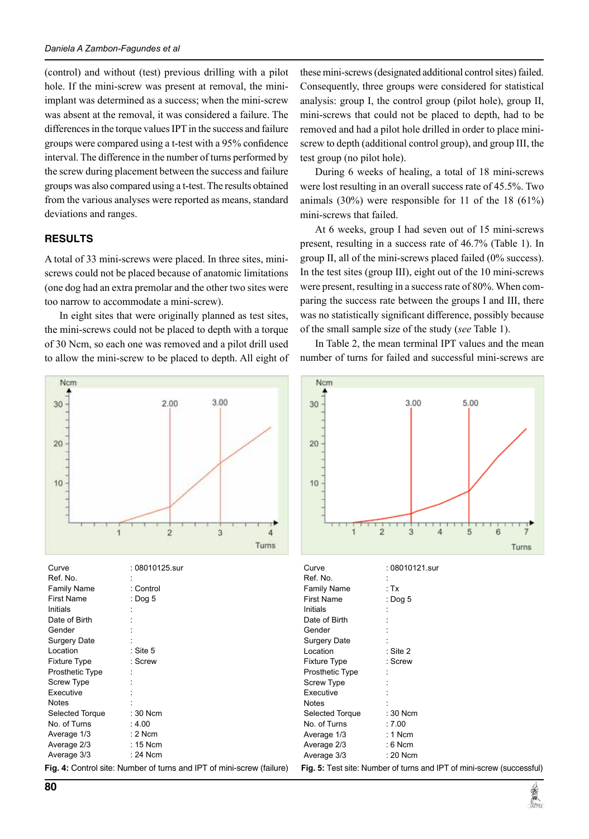(control) and without (test) previous drilling with a pilot hole. If the mini-screw was present at removal, the miniimplant was determined as a success; when the mini-screw was absent at the removal, it was considered a failure. The differences in the torque values IPT in the success and failure groups were compared using a t-test with a 95% confidence interval. The difference in the number of turns performed by the screw during placement between the success and failure groups was also compared using a t-test. The results obtained from the various analyses were reported as means, standard deviations and ranges.

## **RESULTS**

A total of 33 mini-screws were placed. In three sites, miniscrews could not be placed because of anatomic limitations (one dog had an extra premolar and the other two sites were too narrow to accommodate a mini-screw).

In eight sites that were originally planned as test sites, the mini-screws could not be placed to depth with a torque of 30 Ncm, so each one was removed and a pilot drill used to allow the mini-screw to be placed to depth. All eight of



| Curve               | : 08010125.sur    |
|---------------------|-------------------|
| Ref. No.            |                   |
| <b>Family Name</b>  | : Control         |
| <b>First Name</b>   | : Dog 5           |
| Initials            |                   |
| Date of Birth       |                   |
| Gender              |                   |
| Surgery Date        |                   |
| Location            | :Site 5           |
| <b>Fixture Type</b> | : Screw           |
| Prosthetic Type     |                   |
| <b>Screw Type</b>   |                   |
| Executive           |                   |
| <b>Notes</b>        |                   |
| Selected Torque     | : 30 Ncm          |
| No. of Turns        | : $4.00$          |
| Average 1/3         | $: 2$ Ncm         |
| Average 2/3         | $: 15$ Ncm        |
| Average 3/3         | $: 24$ Ncm        |
|                     | $ -$<br>$\cdot$ . |

Fig. 4: Control site: Number of turns and IPT of mini-screw (failure)

these mini-screws (designated additional control sites) failed. Consequently, three groups were considered for statistical analysis: group I, the control group (pilot hole), group II, mini-screws that could not be placed to depth, had to be removed and had a pilot hole drilled in order to place miniscrew to depth (additional control group), and group III, the test group (no pilot hole).

During 6 weeks of healing, a total of 18 mini-screws were lost resulting in an overall success rate of 45.5%. Two animals (30%) were responsible for 11 of the 18 (61%) mini-screws that failed.

At 6 weeks, group I had seven out of 15 mini-screws present, resulting in a success rate of 46.7% (Table 1). In group II, all of the mini-screws placed failed (0% success). In the test sites (group III), eight out of the 10 mini-screws were present, resulting in a success rate of 80%. When comparing the success rate between the groups I and III, there was no statistically significant difference, possibly because of the small sample size of the study (*see* Table 1).

In Table 2, the mean terminal IPT values and the mean number of turns for failed and successful mini-screws are



Curve : 08010121.sur Ref. No. Family Name : Tx First Name : Dog 5 **Initials** Date of Birth **Gender** Surgery Date Location : Site 2 Fixture Type : Screw Prosthetic Type : Screw Type Executive **Notes** Selected Torque : 30 Ncm No. of Turns : 7.00 Average 1/3 : 1 Ncm Average 2/3 : 6 Ncm Average 3/3 : 20 Ncm

**Fig. 5:** Test site: Number of turns and IPT of mini-screw (successful)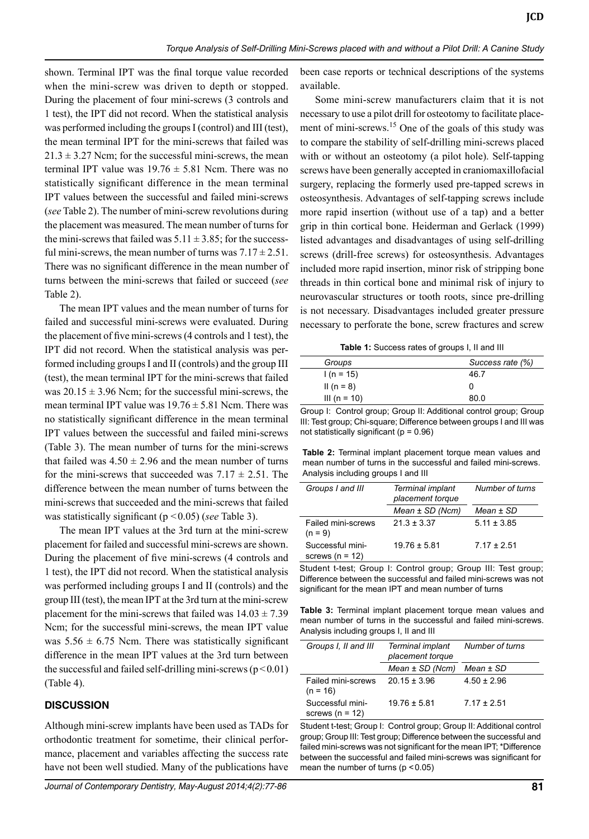shown. Terminal IPT was the final torque value recorded when the mini-screw was driven to depth or stopped. During the placement of four mini-screws (3 controls and 1 test), the IPT did not record. When the statistical analysis was performed including the groups I (control) and III (test), the mean terminal IPT for the mini-screws that failed was  $21.3 \pm 3.27$  Ncm; for the successful mini-screws, the mean terminal IPT value was  $19.76 \pm 5.81$  Ncm. There was no statistically significant difference in the mean terminal IPT values between the successful and failed mini-screws (*see* Table 2). The number of mini-screw revolutions during the placement was measured. The mean number of turns for the mini-screws that failed was  $5.11 \pm 3.85$ ; for the successful mini-screws, the mean number of turns was  $7.17 \pm 2.51$ . There was no significant difference in the mean number of turns between the mini-screws that failed or succeed (*see* Table 2).

The mean IPT values and the mean number of turns for failed and successful mini-screws were evaluated. During the placement of five mini-screws (4 controls and 1 test), the IPT did not record. When the statistical analysis was performed including groups I and II (controls) and the group III (test), the mean terminal IPT for the mini-screws that failed was  $20.15 \pm 3.96$  Ncm; for the successful mini-screws, the mean terminal IPT value was  $19.76 \pm 5.81$  Ncm. There was no statistically significant difference in the mean terminal IPT values between the successful and failed mini-screws (Table 3). The mean number of turns for the mini-screws that failed was  $4.50 \pm 2.96$  and the mean number of turns for the mini-screws that succeeded was  $7.17 \pm 2.51$ . The difference between the mean number of turns between the mini-screws that succeeded and the mini-screws that failed was statistically significant (p <0.05) (*see* Table 3).

The mean IPT values at the 3rd turn at the mini-screw placement for failed and successful mini-screws are shown. During the placement of five mini-screws (4 controls and 1 test), the IPT did not record. When the statistical analysis was performed including groups I and II (controls) and the group III (test), the mean IPT at the 3rd turn at the mini-screw placement for the mini-screws that failed was  $14.03 \pm 7.39$ Ncm; for the successful mini-screws, the mean IPT value was  $5.56 \pm 6.75$  Ncm. There was statistically significant difference in the mean IPT values at the 3rd turn between the successful and failed self-drilling mini-screws  $(p<0.01)$ (Table 4).

### **DISCUSSION**

Although mini-screw implants have been used as TADs for orthodontic treatment for sometime, their clinical performance, placement and variables affecting the success rate have not been well studied. Many of the publications have

been case reports or technical descriptions of the systems available.

Some mini-screw manufacturers claim that it is not necessary to use a pilot drill for osteotomy to facilitate placement of mini-screws.<sup>15</sup> One of the goals of this study was to compare the stability of self-drilling mini-screws placed with or without an osteotomy (a pilot hole). Self-tapping screws have been generally accepted in craniomaxillofacial surgery, replacing the formerly used pre-tapped screws in osteosynthesis. Advantages of self-tapping screws include more rapid insertion (without use of a tap) and a better grip in thin cortical bone. Heiderman and Gerlack (1999) listed advantages and disadvantages of using self-drilling screws (drill-free screws) for osteosynthesis. Advantages included more rapid insertion, minor risk of stripping bone threads in thin cortical bone and minimal risk of injury to neurovascular structures or tooth roots, since pre-drilling is not necessary. Disadvantages included greater pressure necessary to perforate the bone, screw fractures and screw

**Table 1:** Success rates of groups I, II and III

| Groups       | Success rate (%) |
|--------------|------------------|
| $1(n = 15)$  | 46.7             |
| II (n = 8)   | 0                |
| III (n = 10) | 80.0             |
|              |                  |

Group I: Control group; Group II: Additional control group; Group III: Test group; Chi-square; Difference between groups I and III was not statistically significant ( $p = 0.96$ )

**Table 2:** Terminal implant placement torque mean values and mean number of turns in the successful and failed mini-screws. Analysis including groups I and III

| Groups I and III                      | Terminal implant<br>placement torque | Number of turns |
|---------------------------------------|--------------------------------------|-----------------|
|                                       | $Mean \pm SD(Ncm)$                   | $Mean \pm SD$   |
| Failed mini-screws<br>$(n = 9)$       | $21.3 \pm 3.37$                      | $5.11 \pm 3.85$ |
| Successful mini-<br>screws $(n = 12)$ | $19.76 \pm 5.81$                     | $7.17 \pm 2.51$ |

Student t-test; Group I: Control group; Group III: Test group; Difference between the successful and failed mini-screws was not significant for the mean IPT and mean number of turns

**Table 3:** Terminal implant placement torque mean values and mean number of turns in the successful and failed mini-screws. Analysis including groups I, II and III

| Groups I, II and III<br>Terminal implant<br>placement torque |                    | Number of turns |
|--------------------------------------------------------------|--------------------|-----------------|
|                                                              | $Mean \pm SD(Ncm)$ | $Mean \pm SD$   |
| Failed mini-screws<br>$(n = 16)$                             | $20.15 \pm 3.96$   | $4.50 \pm 2.96$ |
| Successful mini-<br>screws $(n = 12)$                        | $19.76 \pm 5.81$   | $7.17 + 2.51$   |

Student t-test; Group I: Control group; Group II: Additional control group; Group III: Test group; Difference between the successful and failed mini-screws was not significant for the mean IPT; \*Difference between the successful and failed mini-screws was significant for mean the number of turns  $(p < 0.05)$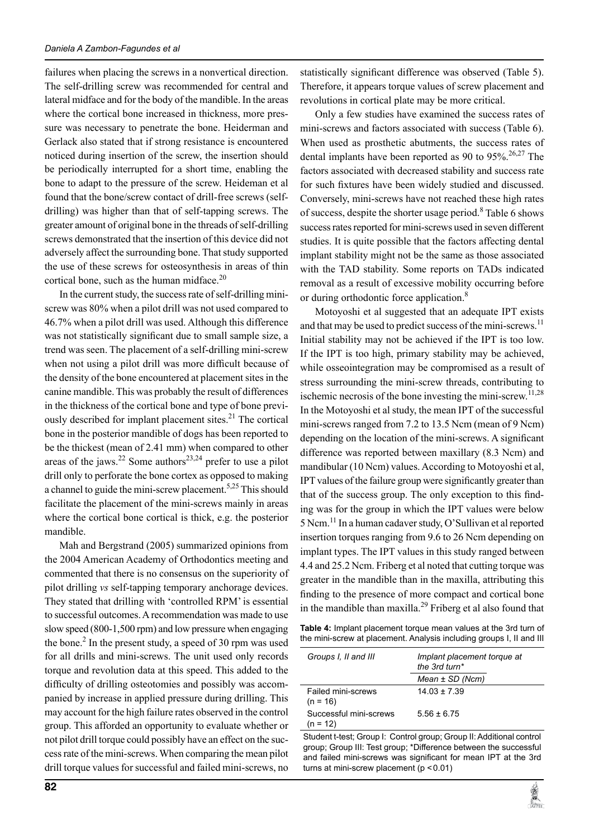failures when placing the screws in a nonvertical direction. The self-drilling screw was recommended for central and lateral midface and for the body of the mandible. In the areas where the cortical bone increased in thickness, more pressure was necessary to penetrate the bone. Heiderman and Gerlack also stated that if strong resistance is encountered noticed during insertion of the screw, the insertion should be periodically interrupted for a short time, enabling the bone to adapt to the pressure of the screw. Heideman et al found that the bone/screw contact of drill-free screws (selfdrilling) was higher than that of self-tapping screws. The greater amount of original bone in the threads of self-drilling screws demonstrated that the insertion of this device did not adversely affect the surrounding bone. That study supported the use of these screws for osteosynthesis in areas of thin cortical bone, such as the human midface. $20$ 

In the current study, the success rate of self-drilling miniscrew was 80% when a pilot drill was not used compared to 46.7% when a pilot drill was used. Although this difference was not statistically significant due to small sample size, a trend was seen. The placement of a self-drilling mini-screw when not using a pilot drill was more difficult because of the density of the bone encountered at placement sites in the canine mandible. This was probably the result of differences in the thickness of the cortical bone and type of bone previously described for implant placement sites.<sup>21</sup> The cortical bone in the posterior mandible of dogs has been reported to be the thickest (mean of 2.41 mm) when compared to other areas of the jaws.<sup>22</sup> Some authors<sup>23,24</sup> prefer to use a pilot drill only to perforate the bone cortex as opposed to making a channel to guide the mini-screw placement.<sup>5,25</sup> This should facilitate the placement of the mini-screws mainly in areas where the cortical bone cortical is thick, e.g. the posterior mandible.

Mah and Bergstrand (2005) summarized opinions from the 2004 American Academy of Orthodontics meeting and commented that there is no consensus on the superiority of pilot drilling *vs* self-tapping temporary anchorage devices. They stated that drilling with 'controlled RPM' is essential to successful outcomes. A recommendation was made to use slow speed (800-1,500 rpm) and low pressure when engaging the bone.<sup>2</sup> In the present study, a speed of 30 rpm was used for all drills and mini-screws. The unit used only records torque and revolution data at this speed. This added to the difficulty of drilling osteotomies and possibly was accompanied by increase in applied pressure during drilling. This may account for the high failure rates observed in the control group. This afforded an opportunity to evaluate whether or not pilot drill torque could possibly have an effect on the success rate of the mini-screws. When comparing the mean pilot drill torque values for successful and failed mini-screws, no

statistically significant difference was observed (Table 5). Therefore, it appears torque values of screw placement and revolutions in cortical plate may be more critical.

Only a few studies have examined the success rates of mini-screws and factors associated with success (Table 6). When used as prosthetic abutments, the success rates of dental implants have been reported as 90 to  $95\%$ .<sup>26,27</sup> The factors associated with decreased stability and success rate for such fixtures have been widely studied and discussed. Conversely, mini-screws have not reached these high rates of success, despite the shorter usage period.<sup>8</sup> Table 6 shows success rates reported for mini-screws used in seven different studies. It is quite possible that the factors affecting dental implant stability might not be the same as those associated with the TAD stability. Some reports on TADs indicated removal as a result of excessive mobility occurring before or during orthodontic force application.<sup>8</sup>

Motoyoshi et al suggested that an adequate IPT exists and that may be used to predict success of the mini-screws.<sup>11</sup> Initial stability may not be achieved if the IPT is too low. If the IPT is too high, primary stability may be achieved, while osseointegration may be compromised as a result of stress surrounding the mini-screw threads, contributing to ischemic necrosis of the bone investing the mini-screw.<sup>11,28</sup> In the Motoyoshi et al study, the mean IPT of the successful mini-screws ranged from 7.2 to 13.5 Ncm (mean of 9 Ncm) depending on the location of the mini-screws. A significant difference was reported between maxillary (8.3 Ncm) and mandibular (10 Ncm) values. According to Motoyoshi et al, IPT values of the failure group were significantly greater than that of the success group. The only exception to this finding was for the group in which the IPT values were below 5 Ncm.<sup>11</sup> In a human cadaver study, O'Sullivan et al reported insertion torques ranging from 9.6 to 26 Ncm depending on implant types. The IPT values in this study ranged between 4.4 and 25.2 Ncm. Friberg et al noted that cutting torque was greater in the mandible than in the maxilla, attributing this finding to the presence of more compact and cortical bone in the mandible than maxilla.<sup>29</sup> Friberg et al also found that

**Table 4:** Implant placement torque mean values at the 3rd turn of the mini-screw at placement. Analysis including groups I, II and III

| Groups I, II and III                 | Implant placement torque at<br>the 3rd turn* |  |
|--------------------------------------|----------------------------------------------|--|
|                                      | $Mean \pm SD(Ncm)$                           |  |
| Failed mini-screws<br>$(n = 16)$     | $14.03 + 7.39$                               |  |
| Successful mini-screws<br>$(n = 12)$ | $5.56 + 6.75$                                |  |

Student t-test; Group I: Control group; Group II: Additional control group; group III: Test group; \*Difference between the successful and failed mini-screws was significant for mean IPT at the 3rd turns at mini-screw placement  $(p < 0.01)$ 

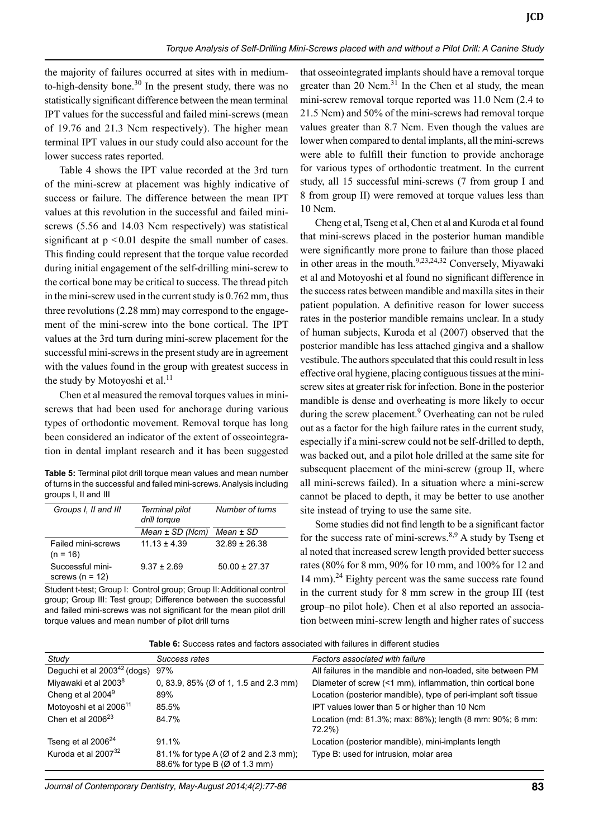the majority of failures occurred at sites with in mediumto-high-density bone.<sup>30</sup> In the present study, there was no statistically significant difference between the mean terminal IPT values for the successful and failed mini-screws (mean of 19.76 and 21.3 Ncm respectively). The higher mean terminal IPT values in our study could also account for the lower success rates reported.

Table 4 shows the IPT value recorded at the 3rd turn of the mini-screw at placement was highly indicative of success or failure. The difference between the mean IPT values at this revolution in the successful and failed miniscrews (5.56 and 14.03 Ncm respectively) was statistical significant at  $p < 0.01$  despite the small number of cases. This finding could represent that the torque value recorded during initial engagement of the self-drilling mini-screw to the cortical bone may be critical to success. The thread pitch in the mini-screw used in the current study is 0.762 mm, thus three revolutions (2.28 mm) may correspond to the engagement of the mini-screw into the bone cortical. The IPT values at the 3rd turn during mini-screw placement for the successful mini-screws in the present study are in agreement with the values found in the group with greatest success in the study by Motoyoshi et al. $^{11}$ 

Chen et al measured the removal torques values in miniscrews that had been used for anchorage during various types of orthodontic movement. Removal torque has long been considered an indicator of the extent of osseointegration in dental implant research and it has been suggested

**Table 5:** Terminal pilot drill torque mean values and mean number of turns in the successful and failed mini-screws. Analysis including groups I, II and III

| Groups I, II and III                  | Terminal pilot<br>drill torque | Number of turns   |
|---------------------------------------|--------------------------------|-------------------|
|                                       | $Mean \pm SD(Ncm)$             | $Mean \pm SD$     |
| Failed mini-screws<br>$(n = 16)$      | $11.13 + 4.39$                 | $32.89 + 26.38$   |
| Successful mini-<br>screws $(n = 12)$ | $9.37 \pm 2.69$                | $50.00 \pm 27.37$ |

Student t-test; Group I: Control group; Group II: Additional control group; Group III: Test group; Difference between the successful and failed mini-screws was not significant for the mean pilot drill torque values and mean number of pilot drill turns

that osseointegrated implants should have a removal torque greater than 20 Ncm. $31$  In the Chen et al study, the mean mini-screw removal torque reported was 11.0 Ncm (2.4 to 21.5 Ncm) and 50% of the mini-screws had removal torque values greater than 8.7 Ncm. Even though the values are lower when compared to dental implants, all the mini-screws were able to fulfill their function to provide anchorage for various types of orthodontic treatment. In the current study, all 15 successful mini-screws (7 from group I and 8 from group II) were removed at torque values less than 10 Ncm.

Cheng et al, Tseng et al, Chen et al and Kuroda et al found that mini-screws placed in the posterior human mandible were significantly more prone to failure than those placed in other areas in the mouth.<sup>9,23,24,32</sup> Conversely, Miyawaki et al and Motoyoshi et al found no significant difference in the success rates between mandible and maxilla sites in their patient population. A definitive reason for lower success rates in the posterior mandible remains unclear. In a study of human subjects, Kuroda et al (2007) observed that the posterior mandible has less attached gingiva and a shallow vestibule. The authors speculated that this could result in less effective oral hygiene, placing contiguous tissues at the miniscrew sites at greater risk for infection. Bone in the posterior mandible is dense and overheating is more likely to occur during the screw placement.<sup>9</sup> Overheating can not be ruled out as a factor for the high failure rates in the current study, especially if a mini-screw could not be self-drilled to depth, was backed out, and a pilot hole drilled at the same site for subsequent placement of the mini-screw (group II, where all mini-screws failed). In a situation where a mini-screw cannot be placed to depth, it may be better to use another site instead of trying to use the same site.

Some studies did not find length to be a significant factor for the success rate of mini-screws. $8,9$  A study by Tseng et al noted that increased screw length provided better success rates (80% for 8 mm, 90% for 10 mm, and 100% for 12 and 14 mm).<sup>24</sup> Eighty percent was the same success rate found in the current study for 8 mm screw in the group III (test group–no pilot hole). Chen et al also reported an association between mini-screw length and higher rates of success

**Table 6:** Success rates and factors associated with failures in different studies

| Study                              | Success rates                                                           | Factors associated with failure                                    |
|------------------------------------|-------------------------------------------------------------------------|--------------------------------------------------------------------|
| Deguchi et al $2003^{42}$ (dogs)   | 97%                                                                     | All failures in the mandible and non-loaded, site between PM       |
| Miyawaki et al 2003 <sup>8</sup>   | 0, 83.9, 85% ( $\varnothing$ of 1, 1.5 and 2.3 mm)                      | Diameter of screw (<1 mm), inflammation, thin cortical bone        |
| Cheng et al 2004 <sup>9</sup>      | 89%                                                                     | Location (posterior mandible), type of peri-implant soft tissue    |
| Motoyoshi et al 2006 <sup>11</sup> | 85.5%                                                                   | IPT values lower than 5 or higher than 10 Ncm                      |
| Chen et al $2006^{23}$             | 84.7%                                                                   | Location (md: 81.3%; max: 86%); length (8 mm: 90%; 6 mm:<br>72.2%) |
| Tseng et al 2006 <sup>24</sup>     | 91.1%                                                                   | Location (posterior mandible), mini-implants length                |
| Kuroda et al 2007 <sup>32</sup>    | 81.1% for type A (Ø of 2 and 2.3 mm);<br>88.6% for type B (Ø of 1.3 mm) | Type B: used for intrusion, molar area                             |

*Journal of Contemporary Dentistry, May-August 2014;4(2):77-86* **83**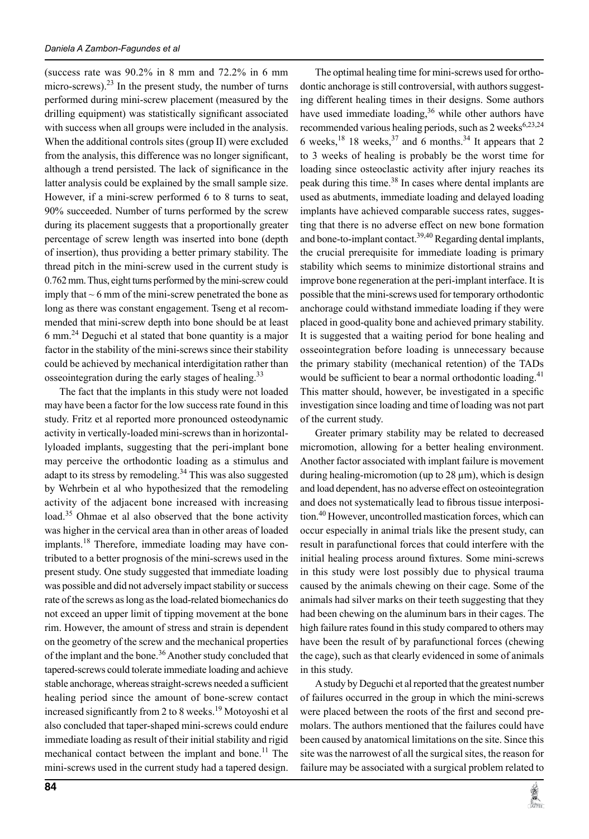(success rate was 90.2% in 8 mm and 72.2% in 6 mm micro-screws). $^{23}$  In the present study, the number of turns performed during mini-screw placement (measured by the drilling equipment) was statistically significant associated with success when all groups were included in the analysis. When the additional controls sites (group II) were excluded from the analysis, this difference was no longer significant, although a trend persisted. The lack of significance in the latter analysis could be explained by the small sample size. However, if a mini-screw performed 6 to 8 turns to seat, 90% succeeded. Number of turns performed by the screw during its placement suggests that a proportionally greater percentage of screw length was inserted into bone (depth of insertion), thus providing a better primary stability. The thread pitch in the mini-screw used in the current study is 0.762 mm. Thus, eight turns performed by the mini-screw could imply that  $\sim$  6 mm of the mini-screw penetrated the bone as long as there was constant engagement. Tseng et al recommended that mini-screw depth into bone should be at least 6 mm.24 Deguchi et al stated that bone quantity is a major factor in the stability of the mini-screws since their stability could be achieved by mechanical interdigitation rather than osseointegration during the early stages of healing.<sup>33</sup>

The fact that the implants in this study were not loaded may have been a factor for the low success rate found in this study. Fritz et al reported more pronounced osteodynamic activity in vertically-loaded mini-screws than in horizontallyloaded implants, suggesting that the peri-implant bone may perceive the orthodontic loading as a stimulus and adapt to its stress by remodeling.<sup>34</sup> This was also suggested by Wehrbein et al who hypothesized that the remodeling activity of the adjacent bone increased with increasing load.<sup>35</sup> Ohmae et al also observed that the bone activity was higher in the cervical area than in other areas of loaded implants.<sup>18</sup> Therefore, immediate loading may have contributed to a better prognosis of the mini-screws used in the present study. One study suggested that immediate loading was possible and did not adversely impact stability or success rate of the screws as long as the load-related biomechanics do not exceed an upper limit of tipping movement at the bone rim. However, the amount of stress and strain is dependent on the geometry of the screw and the mechanical properties of the implant and the bone.<sup>36</sup> Another study concluded that tapered-screws could tolerate immediate loading and achieve stable anchorage, whereas straight-screws needed a sufficient healing period since the amount of bone-screw contact increased significantly from 2 to 8 weeks.<sup>19</sup> Motoyoshi et al also concluded that taper-shaped mini-screws could endure immediate loading as result of their initial stability and rigid mechanical contact between the implant and bone.<sup>11</sup> The mini-screws used in the current study had a tapered design.

**84**

The optimal healing time for mini-screws used for orthodontic anchorage is still controversial, with authors suggesting different healing times in their designs. Some authors have used immediate loading,  $36$  while other authors have recommended various healing periods, such as  $2$  weeks<sup>6,23,24</sup> 6 weeks,  $^{18}$  18 weeks,  $^{37}$  and 6 months. <sup>34</sup> It appears that 2 to 3 weeks of healing is probably be the worst time for loading since osteoclastic activity after injury reaches its peak during this time.<sup>38</sup> In cases where dental implants are used as abutments, immediate loading and delayed loading implants have achieved comparable success rates, suggesting that there is no adverse effect on new bone formation and bone-to-implant contact.<sup>39,40</sup> Regarding dental implants, the crucial prerequisite for immediate loading is primary stability which seems to minimize distortional strains and improve bone regeneration at the peri-implant interface. It is possible that the mini-screws used for temporary orthodontic anchorage could withstand immediate loading if they were placed in good-quality bone and achieved primary stability. It is suggested that a waiting period for bone healing and osseointegration before loading is unnecessary because the primary stability (mechanical retention) of the TADs would be sufficient to bear a normal orthodontic loading.<sup>41</sup> This matter should, however, be investigated in a specific investigation since loading and time of loading was not part of the current study.

Greater primary stability may be related to decreased micromotion, allowing for a better healing environment. Another factor associated with implant failure is movement during healing-micromotion (up to  $28 \mu m$ ), which is design and load dependent, has no adverse effect on osteointegration and does not systematically lead to fibrous tissue interposition.<sup>40</sup> However, uncontrolled mastication forces, which can occur especially in animal trials like the present study, can result in parafunctional forces that could interfere with the initial healing process around fixtures. Some mini-screws in this study were lost possibly due to physical trauma caused by the animals chewing on their cage. Some of the animals had silver marks on their teeth suggesting that they had been chewing on the aluminum bars in their cages. The high failure rates found in this study compared to others may have been the result of by parafunctional forces (chewing the cage), such as that clearly evidenced in some of animals in this study.

A study by Deguchi et al reported that the greatest number of failures occurred in the group in which the mini-screws were placed between the roots of the first and second premolars. The authors mentioned that the failures could have been caused by anatomical limitations on the site. Since this site was the narrowest of all the surgical sites, the reason for failure may be associated with a surgical problem related to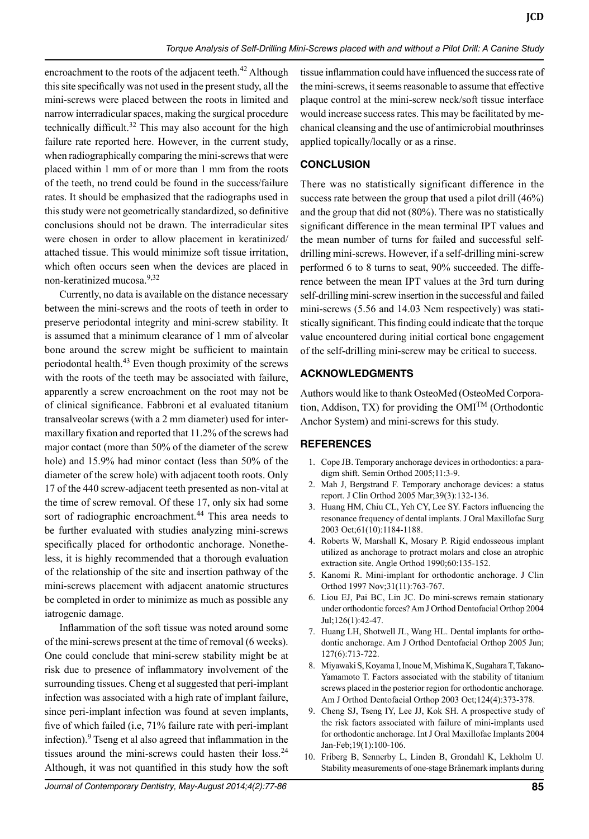encroachment to the roots of the adjacent teeth.<sup>42</sup> Although this site specifically was not used in the present study, all the mini-screws were placed between the roots in limited and narrow interradicular spaces, making the surgical procedure technically difficult.<sup>32</sup> This may also account for the high failure rate reported here. However, in the current study, when radiographically comparing the mini-screws that were placed within 1 mm of or more than 1 mm from the roots of the teeth, no trend could be found in the success/failure rates. It should be emphasized that the radiographs used in this study were not geometrically standardized, so definitive conclusions should not be drawn. The interradicular sites were chosen in order to allow placement in keratinized/ attached tissue. This would minimize soft tissue irritation, which often occurs seen when the devices are placed in non-keratinized mucosa.9,32

Currently, no data is available on the distance necessary between the mini-screws and the roots of teeth in order to preserve periodontal integrity and mini-screw stability. It is assumed that a minimum clearance of 1 mm of alveolar bone around the screw might be sufficient to maintain periodontal health.<sup>43</sup> Even though proximity of the screws with the roots of the teeth may be associated with failure, apparently a screw encroachment on the root may not be of clinical significance. Fabbroni et al evaluated titanium transalveolar screws (with a 2 mm diameter) used for intermaxillary fixation and reported that 11.2% of the screws had major contact (more than 50% of the diameter of the screw hole) and 15.9% had minor contact (less than 50% of the diameter of the screw hole) with adjacent tooth roots. Only 17 of the 440 screw-adjacent teeth presented as non-vital at the time of screw removal. Of these 17, only six had some sort of radiographic encroachment.<sup>44</sup> This area needs to be further evaluated with studies analyzing mini-screws specifically placed for orthodontic anchorage. Nonetheless, it is highly recommended that a thorough evaluation of the relationship of the site and insertion pathway of the mini-screws placement with adjacent anatomic structures be completed in order to minimize as much as possible any iatrogenic damage.

Inflammation of the soft tissue was noted around some of the mini-screws present at the time of removal (6 weeks). One could conclude that mini-screw stability might be at risk due to presence of inflammatory involvement of the surrounding tissues. Cheng et al suggested that peri-implant infection was associated with a high rate of implant failure, since peri-implant infection was found at seven implants, five of which failed (i.e, 71% failure rate with peri-implant infection).<sup>9</sup> Tseng et al also agreed that inflammation in the tissues around the mini-screws could hasten their loss. $24$ Although, it was not quantified in this study how the soft

tissue inflammation could have influenced the success rate of the mini-screws, it seems reasonable to assume that effective plaque control at the mini-screw neck/soft tissue interface would increase success rates. This may be facilitated by mechanical cleansing and the use of antimicrobial mouthrinses applied topically/locally or as a rinse.

# **CONCLUSION**

There was no statistically significant difference in the success rate between the group that used a pilot drill (46%) and the group that did not (80%). There was no statistically significant difference in the mean terminal IPT values and the mean number of turns for failed and successful selfdrilling mini-screws. However, if a self-drilling mini-screw performed 6 to 8 turns to seat, 90% succeeded. The difference between the mean IPT values at the 3rd turn during self-drilling mini-screw insertion in the successful and failed mini-screws (5.56 and 14.03 Ncm respectively) was statistically significant. This finding could indicate that the torque value encountered during initial cortical bone engagement of the self-drilling mini-screw may be critical to success.

# **Acknowledgments**

Authors would like to thank OsteoMed (OsteoMed Corporation, Addison, TX) for providing the  $OMI^{TM}$  (Orthodontic Anchor System) and mini-screws for this study.

# **REFERENCES**

- 1. Cope JB. Temporary anchorage devices in orthodontics: a paradigm shift. Semin Orthod 2005;11:3-9.
- 2. Mah J, Bergstrand F. Temporary anchorage devices: a status report. J Clin Orthod 2005 Mar;39(3):132-136.
- 3. Huang HM, Chiu CL, Yeh CY, Lee SY. Factors influencing the resonance frequency of dental implants. J Oral Maxillofac Surg 2003 Oct;61(10):1184-1188.
- 4. Roberts W, Marshall K, Mosary P. Rigid endosseous implant utilized as anchorage to protract molars and close an atrophic extraction site. Angle Orthod 1990;60:135-152.
- 5. Kanomi R. Mini-implant for orthodontic anchorage. J Clin Orthod 1997 Nov;31(11):763-767.
- 6. Liou EJ, Pai BC, Lin JC. Do mini-screws remain stationary under orthodontic forces? Am J Orthod Dentofacial Orthop 2004 Jul;126(1):42-47.
- 7. Huang LH, Shotwell JL, Wang HL. Dental implants for orthodontic anchorage. Am J Orthod Dentofacial Orthop 2005 Jun; 127(6):713-722.
- 8. Miyawaki S, Koyama I, Inoue M, Mishima K, Sugahara T, Takano-Yamamoto T. Factors associated with the stability of titanium screws placed in the posterior region for orthodontic anchorage. Am J Orthod Dentofacial Orthop 2003 Oct;124(4):373-378.
- 9. Cheng SJ, Tseng IY, Lee JJ, Kok SH. A prospective study of the risk factors associated with failure of mini-implants used for orthodontic anchorage. Int J Oral Maxillofac Implants 2004 Jan-Feb;19(1):100-106.
- 10. Friberg B, Sennerby L, Linden B, Grondahl K, Lekholm U. Stability measurements of one-stage Brånemark implants during